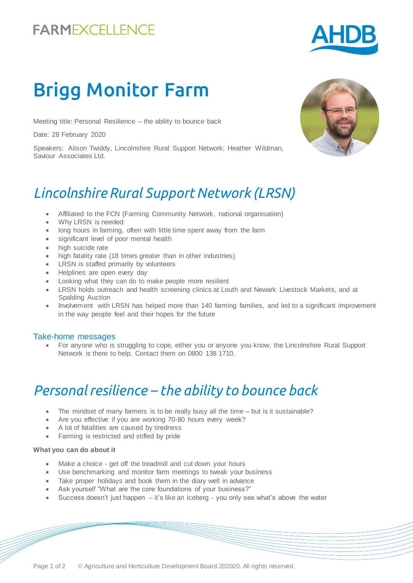# **FARMEXCELLENCE**



# Brigg Monitor Farm

Meeting title: Personal Resilience – the ability to bounce back

Date: 28 February 2020

Speakers: Alison Twiddy, Lincolnshire Rural Support Network; Heather Wildman, Saviour Associates Ltd.

### *Lincolnshire Rural Support Network (LRSN)*

- Affiliated to the FCN (Farming Community Network, national organisation)
- Why LRSN is needed:
- long hours in farming, often with little time spent away from the farm
- significant level of poor mental health
- high suicide rate
- high fatality rate (18 times greater than in other industries)
- LRSN is staffed primarily by volunteers
- Helplines are open every day
- Looking what they can do to make people more resilient
- LRSN holds outreach and health screening clinics at Louth and Newark Livestock Markets, and at Spalding Auction
- Involvement with LRSN has helped more than 140 farming families, and led to a significant improvement in the way people feel and their hopes for the future

#### Take-home messages

 For anyone who is struggling to cope, either you or anyone you know, the Lincolnshire Rural Support Network is there to help. Contact them on 0800 138 1710.

# *Personal resilience – the ability to bounce back*

- The mindset of many farmers is to be really busy all the time but is it sustainable?
- Are you effective if you are working 70-80 hours every week?
- A lot of fatalities are caused by tiredness
- Farming is restricted and stifled by pride

#### **What you can do about it**

- Make a choice get off the treadmill and cut down your hours
- Use benchmarking and monitor farm meetings to tweak your business
- Take proper holidays and book them in the diary well in advance
- Ask yourself "What are the core foundations of your business?"
- $\bullet$  Success doesn't just happen  $-$  it's like an iceberg you only see what's above the water